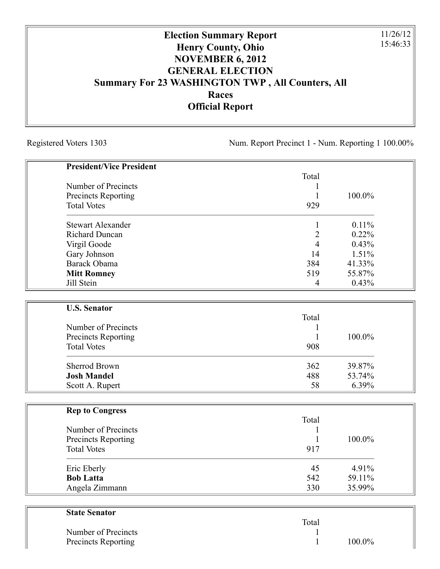## **Election Summary Report Henry County, Ohio NOVEMBER 6, 2012 GENERAL ELECTION Summary For 23 WASHINGTON TWP , All Counters, All Races Official Report**

Registered Voters 1303 Num. Report Precinct 1 - Num. Reporting 1 100.00%

11/26/12 15:46:33

| <b>President/Vice President</b> |                |        |
|---------------------------------|----------------|--------|
|                                 | Total          |        |
| Number of Precincts             | 1              |        |
| <b>Precincts Reporting</b>      | 1              | 100.0% |
| <b>Total Votes</b>              | 929            |        |
| <b>Stewart Alexander</b>        | 1              | 0.11%  |
| <b>Richard Duncan</b>           | $\overline{2}$ | 0.22%  |
| Virgil Goode                    | $\overline{4}$ | 0.43%  |
| Gary Johnson                    | 14             | 1.51%  |
| Barack Obama                    | 384            | 41.33% |
| <b>Mitt Romney</b>              | 519            | 55.87% |
| Jill Stein                      | $\overline{4}$ | 0.43%  |
|                                 |                |        |
| <b>U.S. Senator</b>             |                |        |
|                                 | Total          |        |
| Number of Precincts             | 1              |        |
| <b>Precincts Reporting</b>      | 1              | 100.0% |
| <b>Total Votes</b>              | 908            |        |
| <b>Sherrod Brown</b>            | 362            | 39.87% |
| <b>Josh Mandel</b>              | 488            | 53.74% |
| Scott A. Rupert                 | 58             | 6.39%  |
|                                 |                |        |
| <b>Rep to Congress</b>          | Total          |        |
| Number of Precincts             | 1              |        |
| Precincts Reporting             | 1              | 100.0% |
| <b>Total Votes</b>              | 917            |        |
|                                 |                |        |
| Eric Eberly                     | 45             | 4.91%  |
| <b>Bob Latta</b>                | 542            | 59.11% |
| Angela Zimmann                  | 330            | 35.99% |

| <b>State Senator</b> |       |           |
|----------------------|-------|-----------|
|                      | Total |           |
| Number of Precincts  |       |           |
| Precincts Reporting  |       | $100.0\%$ |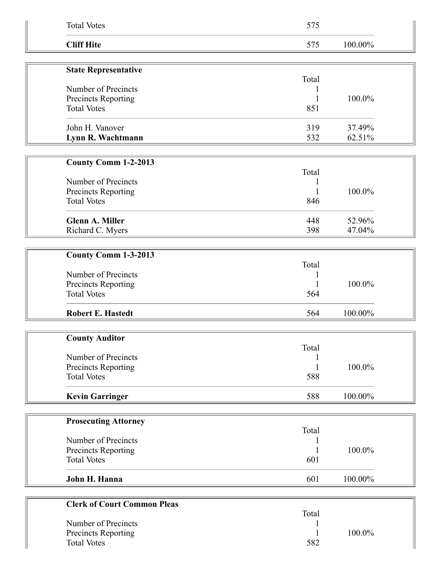| <b>Total Votes</b>                        | 575   |         |  |
|-------------------------------------------|-------|---------|--|
| <b>Cliff Hite</b>                         | 575   | 100.00% |  |
| <b>State Representative</b>               |       |         |  |
|                                           | Total |         |  |
| Number of Precincts                       |       |         |  |
| Precincts Reporting                       | 1     | 100.0%  |  |
| <b>Total Votes</b>                        | 851   |         |  |
| John H. Vanover                           | 319   | 37.49%  |  |
| Lynn R. Wachtmann                         | 532   | 62.51%  |  |
|                                           |       |         |  |
| <b>County Comm 1-2-2013</b>               |       |         |  |
|                                           | Total |         |  |
| Number of Precincts                       |       |         |  |
| Precincts Reporting                       |       | 100.0%  |  |
| <b>Total Votes</b>                        | 846   |         |  |
| <b>Glenn A. Miller</b>                    | 448   | 52.96%  |  |
| Richard C. Myers                          | 398   | 47.04%  |  |
|                                           |       |         |  |
| County Comm 1-3-2013                      |       |         |  |
|                                           | Total |         |  |
| Number of Precincts                       |       |         |  |
| Precincts Reporting                       | 1     | 100.0%  |  |
| <b>Total Votes</b>                        | 564   |         |  |
| <b>Robert E. Hastedt</b>                  | 564   | 100.00% |  |
|                                           |       |         |  |
| <b>County Auditor</b>                     |       |         |  |
| Number of Precincts                       | Total |         |  |
| Precincts Reporting                       | 1     | 100.0%  |  |
| <b>Total Votes</b>                        | 588   |         |  |
|                                           |       |         |  |
| <b>Kevin Garringer</b>                    | 588   | 100.00% |  |
|                                           |       |         |  |
| <b>Prosecuting Attorney</b>               |       |         |  |
| Number of Precincts                       | Total |         |  |
| Precincts Reporting                       | 1     | 100.0%  |  |
| <b>Total Votes</b>                        | 601   |         |  |
|                                           |       |         |  |
| John H. Hanna                             | 601   | 100.00% |  |
|                                           |       |         |  |
| <b>Clerk of Court Common Pleas</b>        |       |         |  |
|                                           | Total |         |  |
| Number of Precincts                       |       |         |  |
| Precincts Reporting<br><b>Total Votes</b> |       | 100.0%  |  |
|                                           | 582   |         |  |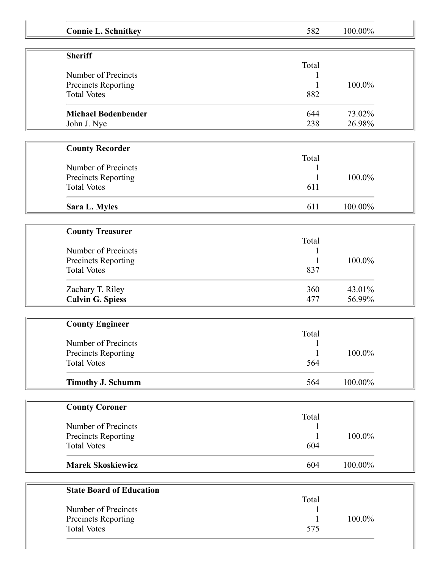|                                           |       | 100.00% |
|-------------------------------------------|-------|---------|
| <b>Connie L. Schnitkey</b>                | 582   |         |
| <b>Sheriff</b>                            |       |         |
|                                           | Total |         |
| Number of Precincts                       |       |         |
| Precincts Reporting                       |       | 100.0%  |
| <b>Total Votes</b>                        | 882   |         |
| <b>Michael Bodenbender</b>                | 644   | 73.02%  |
| John J. Nye                               | 238   | 26.98%  |
|                                           |       |         |
| <b>County Recorder</b>                    | Total |         |
| Number of Precincts                       |       |         |
| <b>Precincts Reporting</b>                |       | 100.0%  |
| <b>Total Votes</b>                        | 611   |         |
| Sara L. Myles                             | 611   | 100.00% |
|                                           |       |         |
| <b>County Treasurer</b>                   |       |         |
|                                           | Total |         |
| Number of Precincts                       |       |         |
| Precincts Reporting                       | 1     | 100.0%  |
| <b>Total Votes</b>                        | 837   |         |
| Zachary T. Riley                          | 360   | 43.01%  |
| <b>Calvin G. Spiess</b>                   | 477   | 56.99%  |
|                                           |       |         |
| <b>County Engineer</b>                    | Total |         |
| Number of Precincts                       |       |         |
| Precincts Reporting                       |       | 100.0%  |
| <b>Total Votes</b>                        | 564   |         |
| <b>Timothy J. Schumm</b>                  | 564   | 100.00% |
|                                           |       |         |
| <b>County Coroner</b>                     |       |         |
| Number of Precincts                       | Total |         |
| Precincts Reporting                       |       | 100.0%  |
| <b>Total Votes</b>                        | 604   |         |
| <b>Marek Skoskiewicz</b>                  | 604   | 100.00% |
|                                           |       |         |
| <b>State Board of Education</b>           | Total |         |
| Number of Precincts                       |       |         |
|                                           |       | 100.0%  |
| Precincts Reporting<br><b>Total Votes</b> |       |         |
|                                           | 575   |         |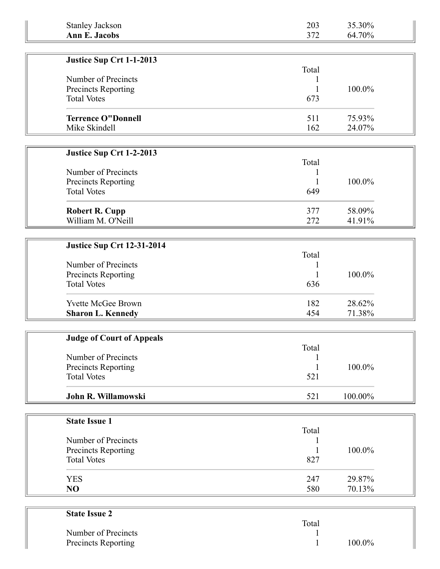| <b>Stanley Jackson</b>                      | 203   | 35.30%           |  |
|---------------------------------------------|-------|------------------|--|
| <b>Ann E. Jacobs</b>                        | 372   | 64.70%           |  |
|                                             |       |                  |  |
| Justice Sup Crt 1-1-2013                    |       |                  |  |
|                                             | Total |                  |  |
| Number of Precincts                         | 1     |                  |  |
| Precincts Reporting                         |       | 100.0%           |  |
| <b>Total Votes</b>                          | 673   |                  |  |
| <b>Terrence O"Donnell</b>                   | 511   | 75.93%           |  |
| Mike Skindell                               | 162   | 24.07%           |  |
|                                             |       |                  |  |
| Justice Sup Crt 1-2-2013                    |       |                  |  |
|                                             | Total |                  |  |
| Number of Precincts                         | 1     |                  |  |
| Precincts Reporting                         |       | 100.0%           |  |
| <b>Total Votes</b>                          | 649   |                  |  |
|                                             |       |                  |  |
| <b>Robert R. Cupp</b><br>William M. O'Neill | 377   | 58.09%<br>41.91% |  |
|                                             | 272   |                  |  |
|                                             |       |                  |  |
| <b>Justice Sup Crt 12-31-2014</b>           |       |                  |  |
| Number of Precincts                         | Total |                  |  |
| Precincts Reporting                         |       | 100.0%           |  |
| <b>Total Votes</b>                          | 636   |                  |  |
|                                             |       |                  |  |
| Yvette McGee Brown                          | 182   | 28.62%           |  |
| <b>Sharon L. Kennedy</b>                    | 454   | 71.38%           |  |
|                                             |       |                  |  |
| <b>Judge of Court of Appeals</b>            |       |                  |  |
|                                             | Total |                  |  |
| Number of Precincts                         |       |                  |  |
| Precincts Reporting                         | 1     | 100.0%           |  |
| <b>Total Votes</b>                          | 521   |                  |  |
| John R. Willamowski                         | 521   | 100.00%          |  |
|                                             |       |                  |  |
| <b>State Issue 1</b>                        |       |                  |  |
|                                             | Total |                  |  |
| Number of Precincts                         |       |                  |  |
| Precincts Reporting                         |       | 100.0%           |  |
| <b>Total Votes</b>                          | 827   |                  |  |
|                                             |       |                  |  |
| <b>YES</b><br>NO                            | 247   | 29.87%           |  |
|                                             | 580   | 70.13%           |  |
|                                             |       |                  |  |
| <b>State Issue 2</b>                        | Total |                  |  |
| Number of Precipate                         |       |                  |  |

| $\sim$ $\sim$ $\sim$ $\sim$ $\sim$ $\sim$ |       |           |
|-------------------------------------------|-------|-----------|
|                                           | Total |           |
| Number of Precincts                       |       |           |
| Precincts Reporting                       |       | $100.0\%$ |
|                                           |       |           |